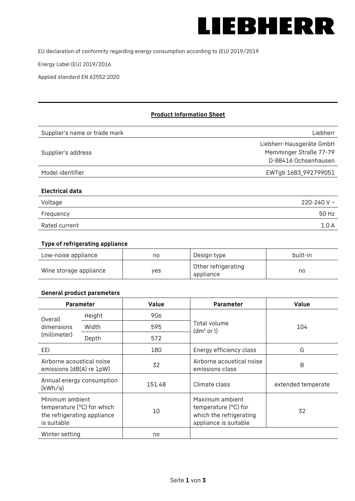

EU declaration of conformity regarding energy consumption according to (EU) 2019/2019

Energy Label (EU) 2019/2016

Applied standard EN 62552:2020

# **Product Information Sheet**

| Supplier's name or trade mark | Liebherr                 |
|-------------------------------|--------------------------|
|                               | Liebherr-Hausgeräte GmbH |
| Supplier's address            | Memminger Straße 77-79   |
|                               | D-88416 Ochsenhausen     |
| Model identifier              | EWTgb 1683_992799051     |
|                               |                          |
| <b>Electrical data</b>        |                          |
| Voltage                       | 220-240 V $\sim$         |
| Frequency                     | 50 Hz                    |

Rated current 1.0 A

#### **Type of refrigerating appliance**

| Low-noise appliance    | no  | Design type                      | built-in |
|------------------------|-----|----------------------------------|----------|
| Wine storage appliance | yes | Other refrigerating<br>appliance | no       |

#### **General product parameters**

|                                                                                             | <b>Parameter</b> | Value  | <b>Parameter</b>                                                                            | <b>Value</b>       |
|---------------------------------------------------------------------------------------------|------------------|--------|---------------------------------------------------------------------------------------------|--------------------|
| Overall<br>dimensions<br>(millimeter)                                                       | Height           | 906    |                                                                                             | 104                |
|                                                                                             | Width            | 595    | Total volume<br>(dm <sup>2</sup> or l)                                                      |                    |
|                                                                                             | Depth            | 572    |                                                                                             |                    |
| EEL                                                                                         |                  | 180    | Energy efficiency class                                                                     | G                  |
| Airborne acoustical noise<br>emissions (dB(A) re 1pW)                                       |                  | 32     | Airborne acoustical noise<br>emissions class                                                | B                  |
| Annual energy consumption<br>(kWh/a)                                                        |                  | 151.48 | Climate class                                                                               | extended temperate |
| Minimum ambient<br>temperature (°C) for which<br>the refrigerating appliance<br>is suitable |                  | 10     | Maximum ambient<br>temperature (°C) for<br>which the refrigerating<br>appliance is suitable | 32                 |
| Winter setting                                                                              |                  | no     |                                                                                             |                    |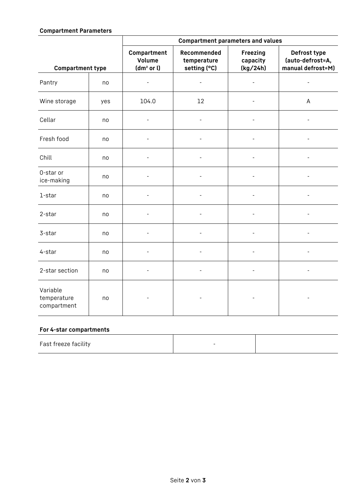## **Compartment Parameters**

|                                        |     | <b>Compartment parameters and values</b>        |                                            |                                         |                                                       |
|----------------------------------------|-----|-------------------------------------------------|--------------------------------------------|-----------------------------------------|-------------------------------------------------------|
| <b>Compartment type</b>                |     | Compartment<br>Volume<br>(dm <sup>2</sup> or l) | Recommended<br>temperature<br>setting (°C) | <b>Freezing</b><br>capacity<br>(kg/24h) | Defrost type<br>(auto-defrost=A,<br>manual defrost=M) |
| Pantry                                 | no  | $\overline{\phantom{a}}$                        | $\qquad \qquad \blacksquare$               | $\overline{\phantom{a}}$                | $\overline{\phantom{a}}$                              |
| Wine storage                           | yes | 104.0                                           | 12                                         |                                         | A                                                     |
| Cellar                                 | no  |                                                 | $\qquad \qquad \blacksquare$               |                                         |                                                       |
| Fresh food                             | no  |                                                 |                                            |                                         |                                                       |
| Chill                                  | no  |                                                 |                                            | $\overline{\phantom{a}}$                |                                                       |
| 0-star or<br>ice-making                | no  |                                                 |                                            |                                         |                                                       |
| 1-star                                 | no  |                                                 |                                            |                                         |                                                       |
| 2-star                                 | no  |                                                 |                                            |                                         |                                                       |
| 3-star                                 | no  |                                                 |                                            |                                         |                                                       |
| 4-star                                 | no  | $\overline{\phantom{a}}$                        |                                            | $\overline{\phantom{a}}$                | Ĭ.                                                    |
| 2-star section                         | no  | $\overline{\phantom{a}}$                        | $\overline{\phantom{a}}$                   | $\overline{\phantom{a}}$                | Ĭ.                                                    |
| Variable<br>temperature<br>compartment | no  |                                                 |                                            |                                         | $\overline{a}$                                        |

## **For 4-star compartments**

| Fast freeze facility |  |
|----------------------|--|
|                      |  |